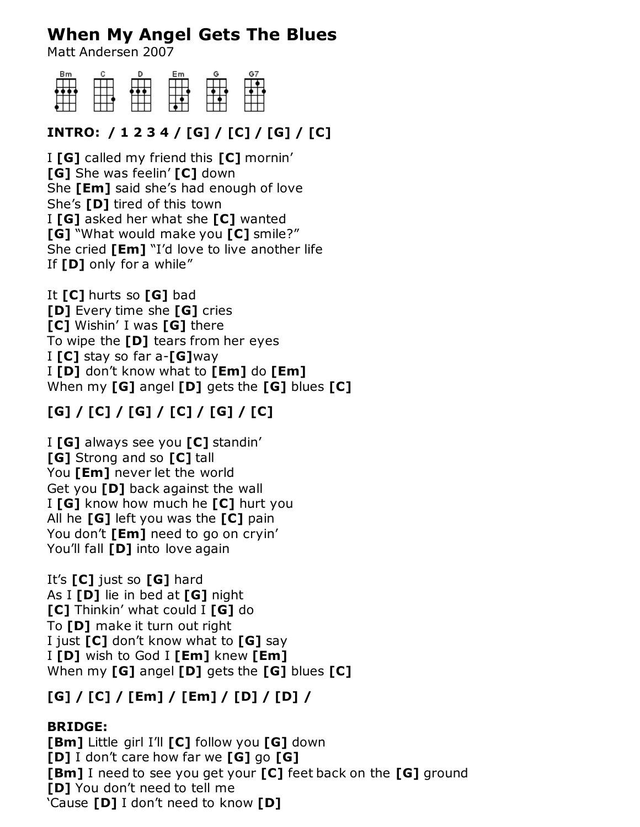# **When My Angel Gets The Blues**

Matt Andersen 2007



#### **INTRO: / 1 2 3 4 / [G] / [C] / [G] / [C]**

I **[G]** called my friend this **[C]** mornin' **[G]** She was feelin' **[C]** down She **[Em]** said she's had enough of love She's **[D]** tired of this town I **[G]** asked her what she **[C]** wanted **[G]** "What would make you **[C]** smile?" She cried **[Em]** "I'd love to live another life If **[D]** only for a while"

It **[C]** hurts so **[G]** bad **[D]** Every time she **[G]** cries **[C]** Wishin' I was **[G]** there To wipe the **[D]** tears from her eyes I **[C]** stay so far a-**[G]**way I **[D]** don't know what to **[Em]** do **[Em]** When my **[G]** angel **[D]** gets the **[G]** blues **[C]**

## **[G] / [C] / [G] / [C] / [G] / [C]**

I **[G]** always see you **[C]** standin' **[G]** Strong and so **[C]** tall You **[Em]** never let the world Get you **[D]** back against the wall I **[G]** know how much he **[C]** hurt you All he **[G]** left you was the **[C]** pain You don't **[Em]** need to go on cryin' You'll fall **[D]** into love again

It's **[C]** just so **[G]** hard As I **[D]** lie in bed at **[G]** night **[C]** Thinkin' what could I **[G]** do To **[D]** make it turn out right I just **[C]** don't know what to **[G]** say I **[D]** wish to God I **[Em]** knew **[Em]** When my **[G]** angel **[D]** gets the **[G]** blues **[C]**

### **[G] / [C] / [Em] / [Em] / [D] / [D] /**

#### **BRIDGE:**

**[Bm]** Little girl I'll **[C]** follow you **[G]** down **[D]** I don't care how far we **[G]** go **[G] [Bm]** I need to see you get your **[C]** feet back on the **[G]** ground **[D]** You don't need to tell me 'Cause **[D]** I don't need to know **[D]**